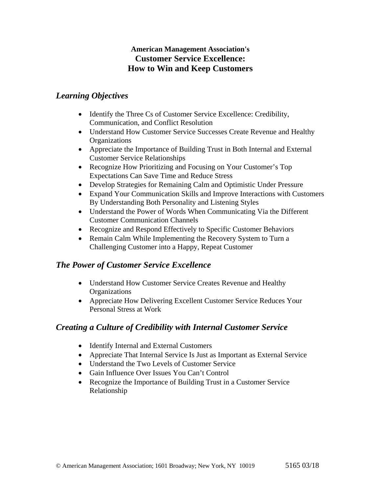### **American Management Association's Customer Service Excellence: How to Win and Keep Customers**

### *Learning Objectives*

- Identify the Three Cs of Customer Service Excellence: Credibility, Communication, and Conflict Resolution
- Understand How Customer Service Successes Create Revenue and Healthy **Organizations**
- Appreciate the Importance of Building Trust in Both Internal and External Customer Service Relationships
- Recognize How Prioritizing and Focusing on Your Customer's Top Expectations Can Save Time and Reduce Stress
- Develop Strategies for Remaining Calm and Optimistic Under Pressure
- Expand Your Communication Skills and Improve Interactions with Customers By Understanding Both Personality and Listening Styles
- Understand the Power of Words When Communicating Via the Different Customer Communication Channels
- Recognize and Respond Effectively to Specific Customer Behaviors
- Remain Calm While Implementing the Recovery System to Turn a Challenging Customer into a Happy, Repeat Customer

## *The Power of Customer Service Excellence*

- Understand How Customer Service Creates Revenue and Healthy **Organizations**
- Appreciate How Delivering Excellent Customer Service Reduces Your Personal Stress at Work

# *Creating a Culture of Credibility with Internal Customer Service*

- Identify Internal and External Customers
- Appreciate That Internal Service Is Just as Important as External Service
- Understand the Two Levels of Customer Service
- Gain Influence Over Issues You Can't Control
- Recognize the Importance of Building Trust in a Customer Service Relationship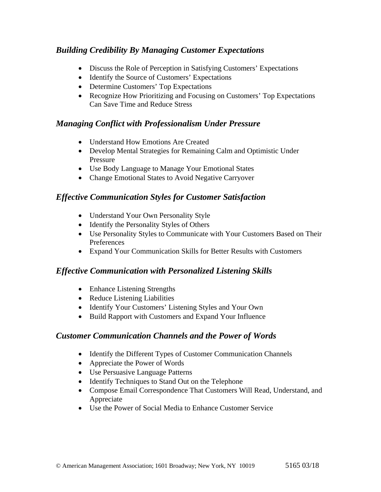# *Building Credibility By Managing Customer Expectations*

- Discuss the Role of Perception in Satisfying Customers' Expectations
- Identify the Source of Customers' Expectations
- Determine Customers' Top Expectations
- Recognize How Prioritizing and Focusing on Customers' Top Expectations Can Save Time and Reduce Stress

#### *Managing Conflict with Professionalism Under Pressure*

- Understand How Emotions Are Created
- Develop Mental Strategies for Remaining Calm and Optimistic Under Pressure
- Use Body Language to Manage Your Emotional States
- Change Emotional States to Avoid Negative Carryover

## *Effective Communication Styles for Customer Satisfaction*

- Understand Your Own Personality Style
- Identify the Personality Styles of Others
- Use Personality Styles to Communicate with Your Customers Based on Their Preferences
- Expand Your Communication Skills for Better Results with Customers

## *Effective Communication with Personalized Listening Skills*

- Enhance Listening Strengths
- Reduce Listening Liabilities
- Identify Your Customers' Listening Styles and Your Own
- Build Rapport with Customers and Expand Your Influence

## *Customer Communication Channels and the Power of Words*

- Identify the Different Types of Customer Communication Channels
- Appreciate the Power of Words
- Use Persuasive Language Patterns
- Identify Techniques to Stand Out on the Telephone
- Compose Email Correspondence That Customers Will Read, Understand, and Appreciate
- Use the Power of Social Media to Enhance Customer Service